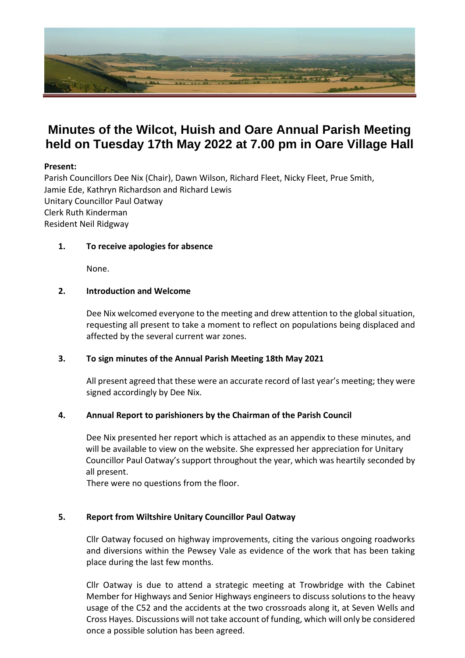

# **Minutes of the Wilcot, Huish and Oare Annual Parish Meeting held on Tuesday 17th May 2022 at 7.00 pm in Oare Village Hall**

# **Present:**

Parish Councillors Dee Nix (Chair), Dawn Wilson, Richard Fleet, Nicky Fleet, Prue Smith, Jamie Ede, Kathryn Richardson and Richard Lewis Unitary Councillor Paul Oatway Clerk Ruth Kinderman Resident Neil Ridgway

# **1. To receive apologies for absence**

None.

#### **2. Introduction and Welcome**

Dee Nix welcomed everyone to the meeting and drew attention to the global situation, requesting all present to take a moment to reflect on populations being displaced and affected by the several current war zones.

# **3. To sign minutes of the Annual Parish Meeting 18th May 2021**

All present agreed that these were an accurate record of last year's meeting; they were signed accordingly by Dee Nix.

# **4. Annual Report to parishioners by the Chairman of the Parish Council**

 Dee Nix presented her report which is attached as an appendix to these minutes, and will be available to view on the website. She expressed her appreciation for Unitary Councillor Paul Oatway's support throughout the year, which was heartily seconded by all present.

There were no questions from the floor.

# **5. Report from Wiltshire Unitary Councillor Paul Oatway**

Cllr Oatway focused on highway improvements, citing the various ongoing roadworks and diversions within the Pewsey Vale as evidence of the work that has been taking place during the last few months.

Cllr Oatway is due to attend a strategic meeting at Trowbridge with the Cabinet Member for Highways and Senior Highways engineers to discuss solutions to the heavy usage of the C52 and the accidents at the two crossroads along it, at Seven Wells and Cross Hayes. Discussions will not take account of funding, which will only be considered once a possible solution has been agreed.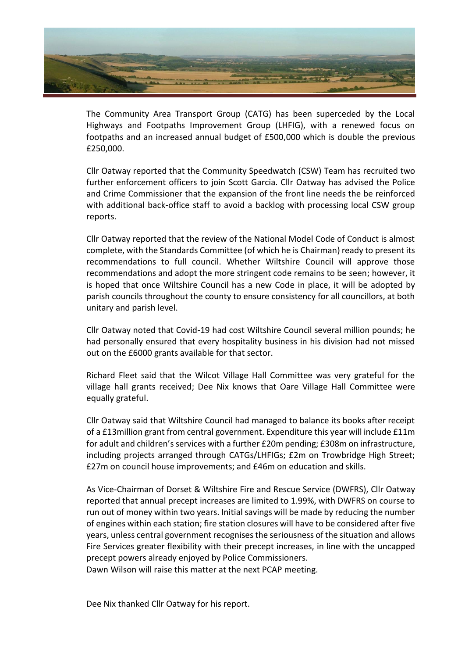

The Community Area Transport Group (CATG) has been superceded by the Local Highways and Footpaths Improvement Group (LHFIG), with a renewed focus on footpaths and an increased annual budget of £500,000 which is double the previous £250,000.

Cllr Oatway reported that the Community Speedwatch (CSW) Team has recruited two further enforcement officers to join Scott Garcia. Cllr Oatway has advised the Police and Crime Commissioner that the expansion of the front line needs the be reinforced with additional back-office staff to avoid a backlog with processing local CSW group reports.

Cllr Oatway reported that the review of the National Model Code of Conduct is almost complete, with the Standards Committee (of which he is Chairman) ready to present its recommendations to full council. Whether Wiltshire Council will approve those recommendations and adopt the more stringent code remains to be seen; however, it is hoped that once Wiltshire Council has a new Code in place, it will be adopted by parish councils throughout the county to ensure consistency for all councillors, at both unitary and parish level.

Cllr Oatway noted that Covid-19 had cost Wiltshire Council several million pounds; he had personally ensured that every hospitality business in his division had not missed out on the £6000 grants available for that sector.

Richard Fleet said that the Wilcot Village Hall Committee was very grateful for the village hall grants received; Dee Nix knows that Oare Village Hall Committee were equally grateful.

Cllr Oatway said that Wiltshire Council had managed to balance its books after receipt of a £13million grant from central government. Expenditure this year will include £11m for adult and children's services with a further £20m pending; £308m on infrastructure, including projects arranged through CATGs/LHFIGs; £2m on Trowbridge High Street; £27m on council house improvements; and £46m on education and skills.

As Vice-Chairman of Dorset & Wiltshire Fire and Rescue Service (DWFRS), Cllr Oatway reported that annual precept increases are limited to 1.99%, with DWFRS on course to run out of money within two years. Initial savings will be made by reducing the number of engines within each station; fire station closures will have to be considered after five years, unless central government recognises the seriousness of the situation and allows Fire Services greater flexibility with their precept increases, in line with the uncapped precept powers already enjoyed by Police Commissioners.

Dawn Wilson will raise this matter at the next PCAP meeting.

Dee Nix thanked Cllr Oatway for his report.